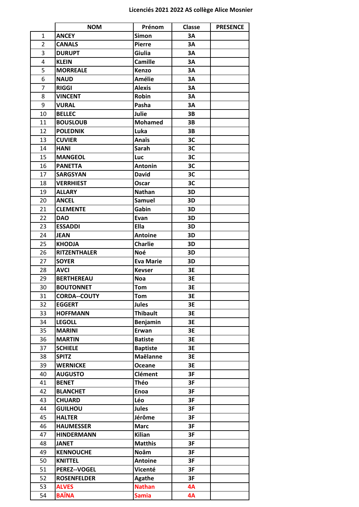|                | <b>NOM</b>          | Prénom           | Classe    | <b>PRESENCE</b> |
|----------------|---------------------|------------------|-----------|-----------------|
| $\mathbf{1}$   | <b>ANCEY</b>        | <b>Simon</b>     | 3A        |                 |
| $\overline{2}$ | <b>CANALS</b>       | <b>Pierre</b>    | 3A        |                 |
| 3              | <b>DURUPT</b>       | Giulia           | 3A        |                 |
| 4              | <b>KLEIN</b>        | <b>Camille</b>   | 3A        |                 |
| 5              | <b>MORREALE</b>     | Kenzo            | 3A        |                 |
| 6              | <b>NAUD</b>         | <b>Amélie</b>    | <b>3A</b> |                 |
| 7              | <b>RIGGI</b>        | <b>Alexis</b>    | 3A        |                 |
| 8              | <b>VINCENT</b>      | Robin            | 3A        |                 |
| 9              | <b>VURAL</b>        | Pasha            | 3A        |                 |
| 10             | <b>BELLEC</b>       | Julie            | 3B        |                 |
| 11             | <b>BOUSLOUB</b>     | <b>Mohamed</b>   | 3B        |                 |
| 12             | <b>POLEDNIK</b>     | Luka             | 3B        |                 |
| 13             | <b>CUVIER</b>       | Anaïs            | 3C        |                 |
| 14             | <b>HANI</b>         | Sarah            | 3C        |                 |
| 15             | <b>MANGEOL</b>      | Luc              | 3C        |                 |
| 16             | <b>PANETTA</b>      | <b>Antonin</b>   | 3C        |                 |
| 17             | <b>SARGSYAN</b>     | <b>David</b>     | 3C        |                 |
| 18             | <b>VERRHIEST</b>    | Oscar            | 3C        |                 |
| 19             | <b>ALLARY</b>       | <b>Nathan</b>    | 3D        |                 |
| 20             | <b>ANCEL</b>        | <b>Samuel</b>    | 3D        |                 |
| 21             | <b>CLEMENTE</b>     | Gabin            | 3D        |                 |
| 22             | <b>DAO</b>          | Evan             | 3D        |                 |
| 23             | <b>ESSADDI</b>      | Ella             | 3D        |                 |
| 24             | <b>JEAN</b>         | <b>Antoine</b>   | 3D        |                 |
| 25             | <b>KHODJA</b>       | <b>Charlie</b>   | 3D        |                 |
| 26             | <b>RITZENTHALER</b> | Noé              | 3D        |                 |
| 27             | <b>SOYER</b>        | <b>Eva Marie</b> | 3D        |                 |
| 28             | <b>AVCI</b>         | <b>Kevser</b>    | 3E        |                 |
| 29             | <b>BERTHEREAU</b>   | <b>Noa</b>       | 3E        |                 |
| 30             | <b>BOUTONNET</b>    | Tom              | 3E        |                 |
| 31             | <b>CORDA--COUTY</b> | <b>Tom</b>       | 3E        |                 |
| 32             | <b>EGGERT</b>       | <b>Jules</b>     | 3E        |                 |
| 33             | <b>HOFFMANN</b>     | <b>Thibault</b>  | 3E        |                 |
| 34             | <b>LEGOLL</b>       | Benjamin         | 3E        |                 |
| 35             | <b>MARINI</b>       | Erwan            | 3E        |                 |
| 36             | <b>MARTIN</b>       | <b>Batiste</b>   | 3E        |                 |
| 37             | <b>SCHIELE</b>      | <b>Baptiste</b>  | 3E        |                 |
| 38             | <b>SPITZ</b>        | <b>Maëlanne</b>  | 3E        |                 |
| 39             | <b>WERNICKE</b>     | Oceane           | 3E        |                 |
| 40             | <b>AUGUSTO</b>      | <b>Clément</b>   | 3F        |                 |
| 41             | <b>BENET</b>        | <b>Théo</b>      | 3F        |                 |
| 42             | <b>BLANCHET</b>     | <b>Enoa</b>      | 3F        |                 |
| 43             | <b>CHUARD</b>       | Léo              | 3F        |                 |
| 44             | <b>GUILHOU</b>      | <b>Jules</b>     | 3F        |                 |
| 45             | <b>HALTER</b>       | Jérôme           | 3F        |                 |
| 46             | <b>HAUMESSER</b>    | <b>Marc</b>      | 3F        |                 |
| 47             | <b>HINDERMANN</b>   | <b>Kilian</b>    | 3F        |                 |
| 48             | <b>JANET</b>        | <b>Matthis</b>   | 3F        |                 |
| 49             | <b>KENNOUCHE</b>    | <b>Noâm</b>      | 3F        |                 |
| 50             | <b>KNITTEL</b>      | <b>Antoine</b>   | 3F        |                 |
| 51             | <b>PEREZ--VOGEL</b> | Vicenté          | 3F        |                 |
| 52             | <b>ROSENFELDER</b>  | <b>Agathe</b>    | 3F        |                 |
| 53             | <b>ALVES</b>        | <b>Nathan</b>    | 4A        |                 |
| 54             | <b>BAÏNA</b>        | <b>Samia</b>     | 4A        |                 |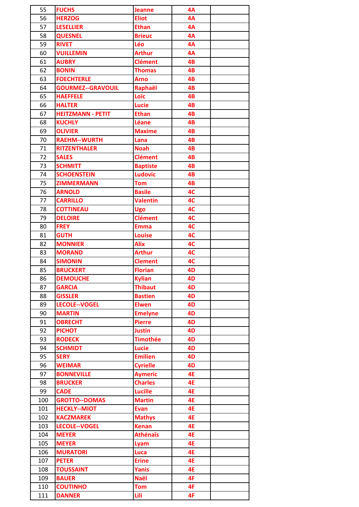| 55  | <b>FUCHS</b>             | <b>Jeanne</b>   | 4A        |  |
|-----|--------------------------|-----------------|-----------|--|
| 56  | <b>HERZOG</b>            | <b>Eliot</b>    | 4A        |  |
| 57  | <b>LESELLIER</b>         | <b>Ethan</b>    | 4A        |  |
| 58  | <b>QUESNEL</b>           | <b>Brieuc</b>   | 4A        |  |
| 59  | <b>RIVET</b>             | Léo             | 4A        |  |
| 60  | <b>VUILLEMIN</b>         | <b>Arthur</b>   | 4A        |  |
| 61  | <b>AUBRY</b>             | <b>Clément</b>  | 4B        |  |
| 62  | <b>BONIN</b>             | <b>Thomas</b>   | 4B        |  |
| 63  | <b>FOECHTERLE</b>        | <b>Arno</b>     | 4B        |  |
| 64  | <b>GOURMEZ--GRAVOUIL</b> | Raphaël         | 4B        |  |
| 65  | <b>HAEFFELE</b>          | Loïc            | 4B        |  |
| 66  | <b>HALTER</b>            | <b>Lucie</b>    | 4B        |  |
| 67  | <b>HEITZMANN - PETIT</b> | <b>Ethan</b>    | 4B        |  |
| 68  | <b>KUCHLY</b>            | Léane           | 4B        |  |
| 69  | <b>OLIVIER</b>           | <b>Maxime</b>   | 4B        |  |
| 70  | <b>RAEHM--WURTH</b>      | Lana            | 4B        |  |
| 71  | <b>RITZENTHALER</b>      | <b>Noah</b>     | 4B        |  |
| 72  | <b>SALES</b>             | <b>Clément</b>  | 4B        |  |
| 73  | <b>SCHMITT</b>           | <b>Baptiste</b> | 4B        |  |
| 74  | <b>SCHOENSTEIN</b>       | <b>Ludovic</b>  | 4B        |  |
| 75  | <b>ZIMMERMANN</b>        | <b>Tom</b>      | 4B        |  |
| 76  | <b>ARNOLD</b>            | <b>Basile</b>   | 4C        |  |
| 77  | <b>CARRILLO</b>          | <b>Valentin</b> | 4C        |  |
| 78  | <b>COTTINEAU</b>         | <b>Ugo</b>      | 4C        |  |
| 79  | <b>DELOIRE</b>           | <b>Clément</b>  | 4C        |  |
| 80  | <b>FREY</b>              | <b>Emma</b>     | 4C        |  |
| 81  | <b>GUTH</b>              | <b>Louise</b>   | 4C        |  |
| 82  | <b>MONNIER</b>           | <b>Alix</b>     | 4C        |  |
| 83  | <b>MORAND</b>            | <b>Arthur</b>   | 4C        |  |
| 84  | <b>SIMONIN</b>           | <b>Clement</b>  | 4C        |  |
| 85  | <b>BRUCKERT</b>          | <b>Florian</b>  | 4D        |  |
| 86  | <b>DEMOUCHE</b>          | <b>Kylian</b>   | 4D        |  |
| 87  | <b>GARCIA</b>            | <b>Thibaut</b>  | 4D        |  |
| 88  | <b>GISSLER</b>           | <b>Bastien</b>  | 4D        |  |
| 89  | LECOLE--VOGEL            | <b>Elwen</b>    | 4D        |  |
| 90  | <b>MARTIN</b>            | <b>Emelyne</b>  | 4D        |  |
| 91  | <b>OBRECHT</b>           | <b>Pierre</b>   | 4D        |  |
| 92  | <b>PICHOT</b>            | <b>Justin</b>   | 4D        |  |
| 93  | <b>RODECK</b>            | <b>Timothée</b> | 4D        |  |
| 94  | <b>SCHMIDT</b>           | <b>Lucie</b>    | 4D        |  |
| 95  | <b>SERY</b>              | <b>Emilien</b>  | 4D        |  |
| 96  | <b>WEIMAR</b>            | <b>Cyrielle</b> | 4D        |  |
| 97  | <b>BONNEVILLE</b>        | <b>Aymeric</b>  | 4E        |  |
| 98  | <b>BRUCKER</b>           | <b>Charles</b>  | <b>4E</b> |  |
| 99  | <b>CADE</b>              | <b>Lucille</b>  | <b>4E</b> |  |
| 100 | <b>GROTTO--DOMAS</b>     | <b>Martin</b>   | 4E        |  |
| 101 | <b>HECKLY--MIOT</b>      | <b>Evan</b>     | <b>4E</b> |  |
| 102 | <b>KACZMAREK</b>         | <b>Mathys</b>   | 4E        |  |
| 103 | <b>LECOLE--VOGEL</b>     | <b>Kenan</b>    | <b>4E</b> |  |
| 104 | <b>MEYER</b>             | <b>Athénaïs</b> | 4E        |  |
| 105 | <b>MEYER</b>             | Lyam            | 4E        |  |
| 106 | <b>MURATORI</b>          | Luca            | <b>4E</b> |  |
| 107 | <b>PETER</b>             | <b>Erine</b>    | 4E        |  |
| 108 | <b>TOUSSAINT</b>         | <b>Yanis</b>    | 4E        |  |
| 109 | <b>BAUER</b>             | <b>Naël</b>     | 4F        |  |
| 110 | <b>COUTINHO</b>          | <b>Tom</b>      | 4F        |  |
|     |                          |                 | 4F        |  |
| 111 | <b>DANNER</b>            | Lili            |           |  |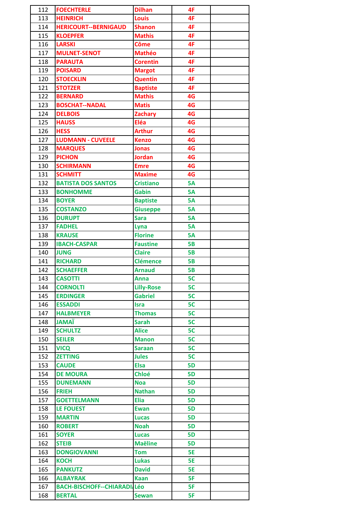| 112        | <b>FOECHTERLE</b>                  | <b>Dilhan</b>               | 4F              |  |
|------------|------------------------------------|-----------------------------|-----------------|--|
| 113        | <b>HEINRICH</b>                    | <b>Louis</b>                | 4F              |  |
| 114        | <b>HERICOURT--BERNIGAUD</b>        | <b>Shanon</b>               | 4F              |  |
| 115        | <b>KLOEPFER</b>                    | <b>Mathis</b>               | 4F              |  |
| 116        | <b>LARSKI</b>                      | <b>Côme</b>                 | 4F              |  |
| 117        | <b>MULNET-SENOT</b>                | <b>Mathéo</b>               | 4F              |  |
| 118        | <b>PARAUTA</b>                     | <b>Corentin</b>             | 4F              |  |
| 119        | <b>POISARD</b>                     | <b>Margot</b>               | 4F              |  |
| 120        | <b>STOECKLIN</b>                   | <b>Quentin</b>              | 4F              |  |
| 121        | <b>STOTZER</b>                     | <b>Baptiste</b>             | 4F              |  |
| 122        | <b>BERNARD</b>                     | <b>Mathis</b>               | 4G              |  |
| 123        | <b>BOSCHAT--NADAL</b>              | <b>Matis</b>                | 4G              |  |
| 124        | <b>DELBOIS</b>                     | <b>Zachary</b>              | 4G              |  |
| 125        | <b>HAUSS</b>                       | Eléa                        | 4G              |  |
| 126        | <b>HESS</b>                        | <b>Arthur</b>               | 4G              |  |
| 127        | <b>LUDMANN - CUVEELE</b>           | <b>Kenzo</b>                | 4G              |  |
| 128        | <b>MARQUES</b>                     | <b>Jonas</b>                | 4G              |  |
| 129        | <b>PICHON</b>                      | <b>Jordan</b>               | 4G              |  |
| 130        | <b>SCHIRMANN</b>                   | <b>Emre</b>                 | 4G              |  |
| 131        | <b>SCHMITT</b>                     | <b>Maxime</b>               | 4G              |  |
| 132        | <b>BATISTA DOS SANTOS</b>          | <b>Cristiano</b>            | <b>5A</b>       |  |
| 133        | <b>BONHOMME</b>                    | <b>Gabin</b>                | <b>5A</b>       |  |
| 134        | <b>BOYER</b>                       | <b>Baptiste</b>             | <b>5A</b>       |  |
| 135        | <b>COSTANZO</b>                    | <b>Giuseppe</b>             | <b>5A</b>       |  |
| 136        | <b>DURUPT</b>                      | <b>Sara</b>                 | <b>5A</b>       |  |
| 137        | <b>FADHEL</b>                      | Lyna                        | <b>5A</b>       |  |
| 138        | <b>KRAUSE</b>                      | <b>Florine</b>              | <b>5A</b>       |  |
| 139        | <b>IBACH-CASPAR</b>                | <b>Faustine</b>             | <b>5B</b>       |  |
| 140        | <b>JUNG</b>                        | <b>Claire</b>               | <b>5B</b>       |  |
| 141        | <b>RICHARD</b>                     | <b>Clémence</b>             | <b>5B</b>       |  |
| 142        | <b>SCHAEFFER</b>                   | <b>Arnaud</b>               | <b>5B</b>       |  |
| 143        | <b>CASOTTI</b>                     | Anna                        | 5C              |  |
| 144        | <b>CORNOLTI</b>                    | <b>Lilly-Rose</b>           | 5C              |  |
| 145        | <b>ERDINGER</b>                    | <b>Gabriel</b>              | 5C              |  |
| 146        | <b>ESSADDI</b>                     | <b>Isra</b>                 | 5C              |  |
| 147        | <b>HALBMEYER</b>                   | <b>Thomas</b>               | 5C              |  |
| 148        | <b><i>JAMAÏ</i></b>                | <b>Sarah</b>                | 5C              |  |
| 149        | <b>SCHULTZ</b>                     | <b>Alice</b>                | 5C              |  |
| 150        | <b>SEILER</b>                      | <b>Manon</b>                | 5C              |  |
| 151        | <b>VICQ</b>                        | <b>Saraan</b>               | 5C              |  |
| 152        | <b>ZETTING</b>                     | <b>Jules</b>                | 5C              |  |
| 153        | <b>CAUDE</b>                       | <b>Elsa</b>                 | 5D              |  |
| 154        | <b>DE MOURA</b>                    | <b>Chloé</b>                | <b>5D</b>       |  |
| 155        | <b>DUNEMANN</b>                    | <b>Noa</b><br><b>Nathan</b> | 5D<br><b>5D</b> |  |
| 156<br>157 | <b>FRIEH</b><br><b>GOETTELMANN</b> | <b>Elia</b>                 | 5D              |  |
| 158        | <b>LE FOUEST</b>                   | <b>Ewan</b>                 | <b>5D</b>       |  |
| 159        | <b>MARTIN</b>                      | <b>Lucas</b>                | <b>5D</b>       |  |
| 160        | <b>ROBERT</b>                      | <b>Noah</b>                 | 5D              |  |
| 161        | <b>SOYER</b>                       | <b>Lucas</b>                | <b>5D</b>       |  |
| 162        | <b>STEIB</b>                       | <b>Maëline</b>              | 5D              |  |
| 163        | <b>DONGIOVANNI</b>                 | <b>Tom</b>                  | <b>5E</b>       |  |
| 164        | <b>KOCH</b>                        | <b>Lukas</b>                | <b>5E</b>       |  |
| 165        | <b>PANKUTZ</b>                     | <b>David</b>                | <b>5E</b>       |  |
| 166        | <b>ALBAYRAK</b>                    | <b>Kaan</b>                 | 5F              |  |
| 167        | <b>BACH-BISCHOFF--CHIARADI/Léo</b> |                             | 5F              |  |
| 168        | <b>BERTAL</b>                      | <b>Sewan</b>                | 5F              |  |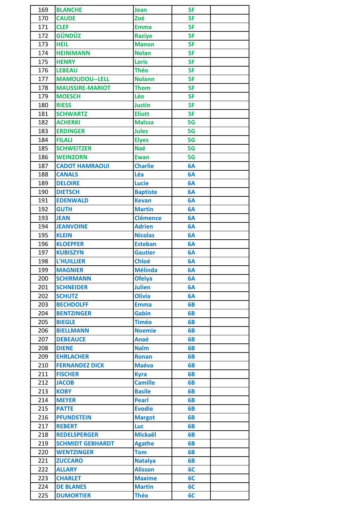| 169 | <b>BLANCHE</b>          | Joan            | 5F |  |
|-----|-------------------------|-----------------|----|--|
| 170 | <b>CAUDE</b>            | Zoé             | 5F |  |
| 171 | <b>CLEF</b>             | <b>Emma</b>     | 5F |  |
| 172 | <b>GÜNDÜZ</b>           | <b>Raziye</b>   | 5F |  |
| 173 | <b>HEIL</b>             | <b>Manon</b>    | 5F |  |
| 174 | <b>HEINIMANN</b>        | <b>Nolan</b>    | 5F |  |
| 175 | <b>HENRY</b>            | <b>Loris</b>    | 5F |  |
| 176 | <b>LEBEAU</b>           | <b>Théo</b>     | 5F |  |
| 177 | <b>MAMOUDOU--LELL</b>   | <b>Nolann</b>   | 5F |  |
| 178 | <b>MAUSSIRE-MARIOT</b>  | <b>Thom</b>     | 5F |  |
| 179 | <b>MOESCH</b>           | Léo             | 5F |  |
| 180 | <b>RIESS</b>            | <b>Justin</b>   | 5F |  |
| 181 | <b>SCHWARTZ</b>         | <b>Eliott</b>   | 5F |  |
| 182 | <b>ACHERKI</b>          | <b>Maïssa</b>   | 5G |  |
| 183 | <b>ERDINGER</b>         | <b>Jules</b>    | 5G |  |
| 184 | <b>FILALI</b>           | <b>Elyes</b>    | 5G |  |
| 185 | <b>SCHWEITZER</b>       | <b>Naé</b>      | 5G |  |
| 186 | <b>WEINZORN</b>         | <b>Ewan</b>     | 5G |  |
| 187 | <b>CADOT HAMRAOUI</b>   | <b>Charlie</b>  | 6A |  |
| 188 | <b>CANALS</b>           | Léa             | 6A |  |
| 189 | <b>DELOIRE</b>          | <b>Lucie</b>    | 6A |  |
| 190 | <b>DIETSCH</b>          | <b>Baptiste</b> | 6A |  |
| 191 | <b>EDENWALD</b>         | <b>Kevan</b>    | 6A |  |
| 192 | <b>GUTH</b>             | <b>Martin</b>   | 6A |  |
| 193 | <b>JEAN</b>             | <b>Clémence</b> | 6A |  |
| 194 | <b>JEANVOINE</b>        | <b>Adrien</b>   | 6A |  |
| 195 | <b>KLEIN</b>            | <b>Nicolas</b>  | 6A |  |
| 196 | <b>KLOEPFER</b>         | <b>Esteban</b>  | 6A |  |
| 197 | <b>KUBISZYN</b>         | <b>Gautier</b>  | 6A |  |
| 198 | <b>L'HUILLIER</b>       | <b>Chloé</b>    | 6A |  |
| 199 | <b>MAGNIER</b>          | <b>Mélinda</b>  | 6A |  |
| 200 | <b>SCHIRMANN</b>        | <b>Ofelya</b>   | 6A |  |
| 201 | <b>SCHNEIDER</b>        | <b>Julien</b>   | 6A |  |
| 202 | <b>SCHUTZ</b>           | <b>Olivia</b>   | 6A |  |
| 203 | <b>BECHDOLFF</b>        | <b>Emma</b>     | 6B |  |
| 204 | <b>BENTZINGER</b>       | <b>Gabin</b>    | 6B |  |
| 205 | <b>BIEGLE</b>           | <b>Timéo</b>    | 6B |  |
| 206 | <b>BIELLMANN</b>        | <b>Noemie</b>   | 6B |  |
| 207 | <b>DEBEAUCE</b>         | Anaé            | 6B |  |
| 208 | <b>DIENE</b>            | <b>Naïm</b>     | 6B |  |
| 209 | <b>EHRLACHER</b>        | <b>Ronan</b>    | 6B |  |
| 210 | <b>FERNANDEZ DICK</b>   | <b>Maéva</b>    | 6B |  |
| 211 | <b>FISCHER</b>          | <b>Kyra</b>     | 6B |  |
| 212 | <b>JACOB</b>            | <b>Camille</b>  | 6B |  |
| 213 | <b>KOBY</b>             | <b>Basile</b>   | 6B |  |
| 214 | <b>MEYER</b>            | <b>Pearl</b>    | 6B |  |
| 215 | <b>PATTE</b>            | <b>Evodie</b>   | 6B |  |
| 216 | <b>PFUNDSTEIN</b>       | <b>Margot</b>   | 6B |  |
| 217 | <b>REBERT</b>           | <b>Luc</b>      | 6B |  |
| 218 | <b>REDELSPERGER</b>     | <b>Mickaël</b>  | 6B |  |
| 219 | <b>SCHMIDT GEBHARDT</b> | <b>Agathe</b>   | 6B |  |
| 220 | <b>WENTZINGER</b>       | <b>Tom</b>      | 6B |  |
| 221 | <b>ZUCCARO</b>          | <b>Natalya</b>  | 6B |  |
| 222 | <b>ALLARY</b>           | <b>Alisson</b>  | 6C |  |
| 223 | <b>CHARLET</b>          | <b>Maxime</b>   | 6C |  |
| 224 | <b>DE BLANES</b>        | <b>Martin</b>   | 6C |  |
| 225 | <b>DUMORTIER</b>        | <b>Théo</b>     | 6C |  |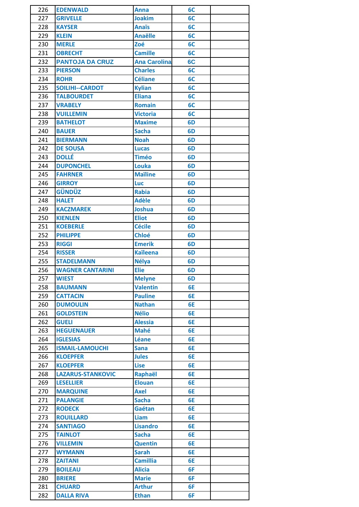| 226 | <b>EDENWALD</b>          | Anna                | 6C             |  |
|-----|--------------------------|---------------------|----------------|--|
| 227 | <b>GRIVELLE</b>          | <b>Joakim</b>       | 6C             |  |
| 228 | <b>KAYSER</b>            | <b>Anaïs</b>        | 6C             |  |
| 229 | <b>KLEIN</b>             | <b>Anaëlle</b>      | 6C             |  |
| 230 | <b>MERLE</b>             | Zoé                 | 6C             |  |
| 231 | <b>OBRECHT</b>           | <b>Camille</b>      | 6C             |  |
| 232 | <b>PANTOJA DA CRUZ</b>   | <b>Ana Carolina</b> | 6C             |  |
| 233 | <b>PIERSON</b>           | <b>Charles</b>      | 6C             |  |
| 234 | <b>ROHR</b>              | <b>Céliane</b>      | 6C             |  |
| 235 | <b>SOILIHI--CARDOT</b>   | <b>Kylian</b>       | 6C             |  |
| 236 | <b>TALBOURDET</b>        | <b>Eliana</b>       | 6C             |  |
| 237 | <b>VRABELY</b>           | <b>Romain</b>       | 6C             |  |
| 238 | <b>VUILLEMIN</b>         | <b>Victoria</b>     | 6C             |  |
| 239 | <b>BATHELOT</b>          | <b>Maxime</b>       | 6 <sub>D</sub> |  |
| 240 | <b>BAUER</b>             | <b>Sacha</b>        | 6D             |  |
| 241 | <b>BIERMANN</b>          | <b>Noah</b>         | 6 <sub>D</sub> |  |
| 242 | <b>DE SOUSA</b>          | <b>Lucas</b>        | 6 <sub>D</sub> |  |
| 243 | <b>DOLLÉ</b>             | <b>Timéo</b>        | 6 <sub>D</sub> |  |
| 244 | <b>DUPONCHEL</b>         | Louka               | 6 <sub>D</sub> |  |
| 245 | <b>FAHRNER</b>           | <b>Maïline</b>      | 6D             |  |
| 246 | <b>GIRROY</b>            | <b>Luc</b>          | 6 <sub>D</sub> |  |
| 247 | <b>GÜNDÜZ</b>            | <b>Rabia</b>        | 6 <sub>D</sub> |  |
| 248 | <b>HALET</b>             | <b>Adèle</b>        | 6 <sub>D</sub> |  |
| 249 | <b>KACZMAREK</b>         | <b>Joshua</b>       | 6 <sub>D</sub> |  |
| 250 | <b>KIENLEN</b>           | <b>Eliot</b>        | 6D             |  |
| 251 | <b>KOEBERLE</b>          | <b>Cécile</b>       | 6 <sub>D</sub> |  |
| 252 | <b>PHILIPPE</b>          | <b>Chloé</b>        | 6 <sub>D</sub> |  |
| 253 | <b>RIGGI</b>             | <b>Emerik</b>       | 6 <sub>D</sub> |  |
| 254 | <b>RISSER</b>            | <b>Kaïleena</b>     | 6 <sub>D</sub> |  |
| 255 | <b>STADELMANN</b>        | <b>Nélya</b>        | 6D             |  |
| 256 | <b>WAGNER CANTARINI</b>  | <b>Elie</b>         | 6 <sub>D</sub> |  |
| 257 | <b>WIEST</b>             | <b>Melyne</b>       | 6 <sub>D</sub> |  |
| 258 | <b>BAUMANN</b>           | <b>Valentin</b>     | 6E             |  |
| 259 | <b>CATTACIN</b>          | <b>Pauline</b>      | 6E             |  |
| 260 | <b>DUMOULIN</b>          | <b>Nathan</b>       | 6E             |  |
| 261 | <b>GOLDSTEIN</b>         | <b>Nélio</b>        | 6E             |  |
| 262 | <b>GUELI</b>             | <b>Alessia</b>      | 6E             |  |
| 263 | <b>HEGUENAUER</b>        | <b>Mahé</b>         | 6E             |  |
| 264 | <b>IGLESIAS</b>          | Léane               | 6E             |  |
| 265 | <b>ISMAIL-LAMOUCHI</b>   | <b>Sana</b>         | 6E             |  |
| 266 | <b>KLOEPFER</b>          | <b>Jules</b>        | 6E             |  |
| 267 | <b>KLOEPFER</b>          | <b>Lise</b>         | 6E             |  |
| 268 | <b>LAZARUS-STANKOVIC</b> | <b>Raphaël</b>      | 6E             |  |
| 269 | <b>LESELLIER</b>         | <b>Elouan</b>       | 6E             |  |
| 270 | <b>MARQUINE</b>          | <b>Axel</b>         | 6E             |  |
| 271 | <b>PALANGIE</b>          | <b>Sacha</b>        | 6E             |  |
| 272 | <b>RODECK</b>            | Gaétan              | 6E             |  |
| 273 | <b>ROUILLARD</b>         | Liam                | 6E             |  |
| 274 | <b>SANTIAGO</b>          | <b>Lisandro</b>     | 6E             |  |
| 275 | <b>TAINLOT</b>           | <b>Sacha</b>        | 6E             |  |
| 276 | <b>VILLEMIN</b>          | <b>Quentin</b>      | 6E             |  |
| 277 | <b>WYMANN</b>            | <b>Sarah</b>        | 6E             |  |
| 278 | <b>ZAITANI</b>           | <b>Camillia</b>     | 6E             |  |
| 279 | <b>BOILEAU</b>           | <b>Alicia</b>       | 6F             |  |
| 280 | <b>BRIERE</b>            | <b>Marie</b>        | 6F             |  |
| 281 | <b>CHUARD</b>            | <b>Arthur</b>       | 6F             |  |
| 282 | <b>DALLA RIVA</b>        | <b>Ethan</b>        | 6F             |  |
|     |                          |                     |                |  |